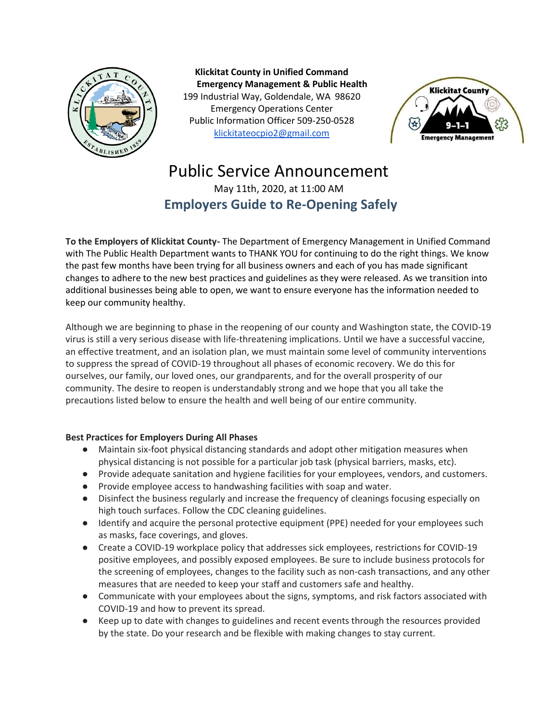

**Klickitat County in Unified Command Emergency Management & Public Health** 199 Industrial Way, Goldendale, WA 98620 Emergency Operations Center Public Information Officer 509-250-0528 [klickitateocpio2@gmail.com](mailto:klickitateocpio@gmail.com)



## Public Service Announcement May 11th, 2020, at 11:00 AM **Employers Guide to Re-Opening Safely**

**To the Employers of Klickitat County-** The Department of Emergency Management in Unified Command with The Public Health Department wants to THANK YOU for continuing to do the right things. We know the past few months have been trying for all business owners and each of you has made significant changes to adhere to the new best practices and guidelines as they were released. As we transition into additional businesses being able to open, we want to ensure everyone has the information needed to keep our community healthy.

Although we are beginning to phase in the reopening of our county and Washington state, the COVID-19 virus is still a very serious disease with life-threatening implications. Until we have a successful vaccine, an effective treatment, and an isolation plan, we must maintain some level of community interventions to suppress the spread of COVID-19 throughout all phases of economic recovery. We do this for ourselves, our family, our loved ones, our grandparents, and for the overall prosperity of our community. The desire to reopen is understandably strong and we hope that you all take the precautions listed below to ensure the health and well being of our entire community.

## **Best Practices for Employers During All Phases**

- Maintain six-foot physical distancing standards and adopt other mitigation measures when physical distancing is not possible for a particular job task (physical barriers, masks, etc).
- Provide adequate sanitation and hygiene facilities for your employees, vendors, and customers.
- Provide employee access to handwashing facilities with soap and water.
- Disinfect the business regularly and increase the frequency of cleanings focusing especially on high touch surfaces. Follow the CDC cleaning guidelines.
- Identify and acquire the personal protective equipment (PPE) needed for your employees such as masks, face coverings, and gloves.
- Create a COVID-19 workplace policy that addresses sick employees, restrictions for COVID-19 positive employees, and possibly exposed employees. Be sure to include business protocols for the screening of employees, changes to the facility such as non-cash transactions, and any other measures that are needed to keep your staff and customers safe and healthy.
- Communicate with your employees about the signs, symptoms, and risk factors associated with COVID-19 and how to prevent its spread.
- Keep up to date with changes to guidelines and recent events through the resources provided by the state. Do your research and be flexible with making changes to stay current.